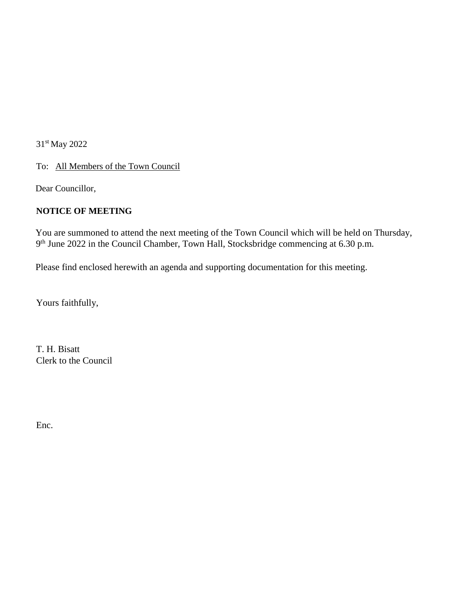31st May 2022

To: All Members of the Town Council

Dear Councillor,

## **NOTICE OF MEETING**

You are summoned to attend the next meeting of the Town Council which will be held on Thursday, 9<sup>th</sup> June 2022 in the Council Chamber, Town Hall, Stocksbridge commencing at 6.30 p.m.

Please find enclosed herewith an agenda and supporting documentation for this meeting.

Yours faithfully,

T. H. Bisatt Clerk to the Council

Enc.